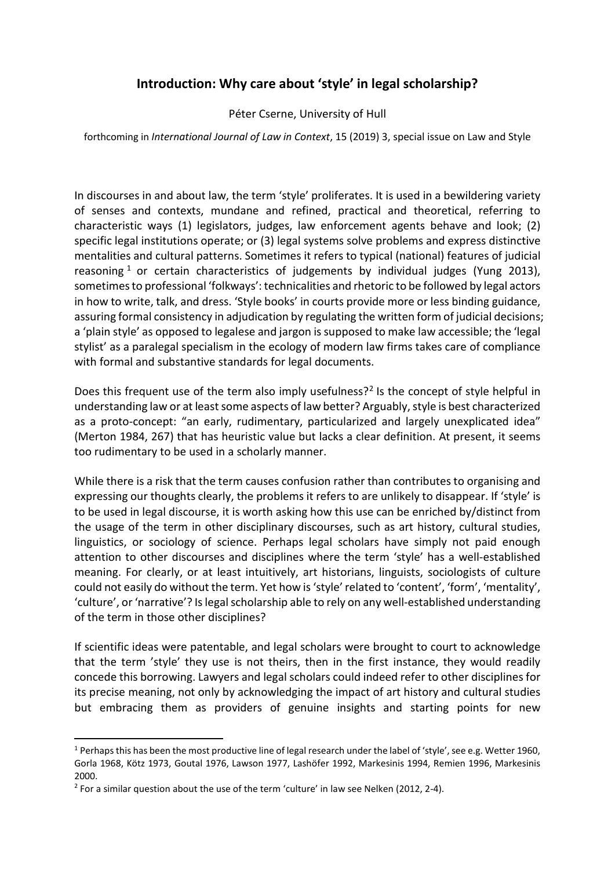## **Introduction: Why care about 'style' in legal scholarship?**

## Péter Cserne, University of Hull

forthcoming in *International Journal of Law in Context*, 15 (2019) 3, special issue on Law and Style

In discourses in and about law, the term 'style' proliferates. It is used in a bewildering variety of senses and contexts, mundane and refined, practical and theoretical, referring to characteristic ways (1) legislators, judges, law enforcement agents behave and look; (2) specific legal institutions operate; or (3) legal systems solve problems and express distinctive mentalities and cultural patterns. Sometimes it refers to typical (national) features of judicial reasoning  $1$  or certain characteristics of judgements by individual judges (Yung 2013), sometimes to professional 'folkways': technicalities and rhetoric to be followed by legal actors in how to write, talk, and dress. 'Style books' in courts provide more or less binding guidance, assuring formal consistency in adjudication by regulating the written form of judicial decisions; a 'plain style' as opposed to legalese and jargon is supposed to make law accessible; the 'legal stylist' as a paralegal specialism in the ecology of modern law firms takes care of compliance with formal and substantive standards for legal documents.

Does this frequent use of the term also imply usefulness?<sup>[2](#page-0-1)</sup> Is the concept of style helpful in understanding law or at least some aspects of law better? Arguably, style is best characterized as a proto-concept: "an early, rudimentary, particularized and largely unexplicated idea" (Merton 1984, 267) that has heuristic value but lacks a clear definition. At present, it seems too rudimentary to be used in a scholarly manner.

While there is a risk that the term causes confusion rather than contributes to organising and expressing our thoughts clearly, the problems it refers to are unlikely to disappear. If 'style' is to be used in legal discourse, it is worth asking how this use can be enriched by/distinct from the usage of the term in other disciplinary discourses, such as art history, cultural studies, linguistics, or sociology of science. Perhaps legal scholars have simply not paid enough attention to other discourses and disciplines where the term 'style' has a well-established meaning. For clearly, or at least intuitively, art historians, linguists, sociologists of culture could not easily do without the term. Yet how is 'style' related to 'content', 'form', 'mentality', 'culture', or 'narrative'? Is legal scholarship able to rely on any well-established understanding of the term in those other disciplines?

If scientific ideas were patentable, and legal scholars were brought to court to acknowledge that the term 'style' they use is not theirs, then in the first instance, they would readily concede this borrowing. Lawyers and legal scholars could indeed refer to other disciplines for its precise meaning, not only by acknowledging the impact of art history and cultural studies but embracing them as providers of genuine insights and starting points for new

<span id="page-0-0"></span><sup>&</sup>lt;sup>1</sup> Perhaps this has been the most productive line of legal research under the label of 'style', see e.g. Wetter 1960, Gorla 1968, Kötz 1973, Goutal 1976, Lawson 1977, Lashöfer 1992, Markesinis 1994, Remien 1996, Markesinis 2000.

<span id="page-0-1"></span> $2$  For a similar question about the use of the term 'culture' in law see Nelken (2012, 2-4).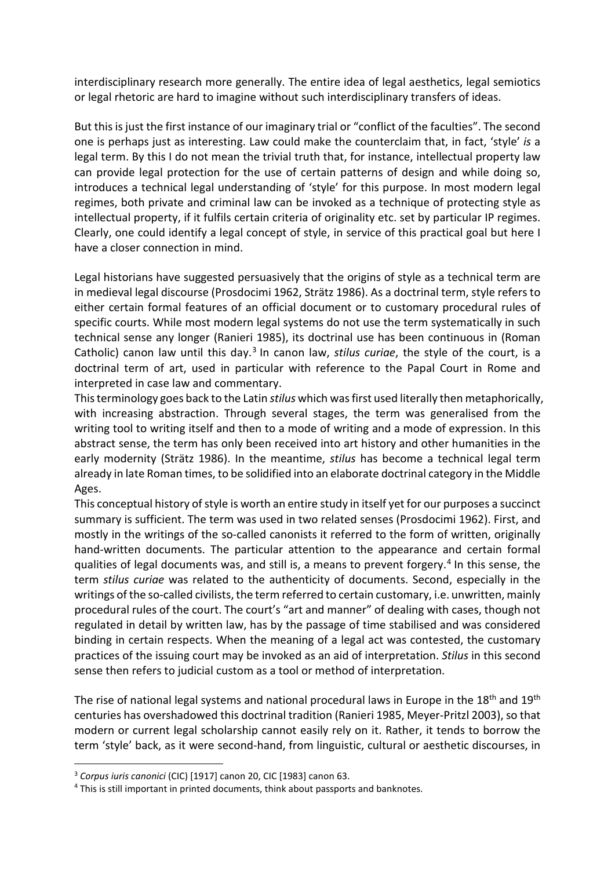interdisciplinary research more generally. The entire idea of legal aesthetics, legal semiotics or legal rhetoric are hard to imagine without such interdisciplinary transfers of ideas.

But this is just the first instance of our imaginary trial or "conflict of the faculties". The second one is perhaps just as interesting. Law could make the counterclaim that, in fact, 'style' *is* a legal term. By this I do not mean the trivial truth that, for instance, intellectual property law can provide legal protection for the use of certain patterns of design and while doing so, introduces a technical legal understanding of 'style' for this purpose. In most modern legal regimes, both private and criminal law can be invoked as a technique of protecting style as intellectual property, if it fulfils certain criteria of originality etc. set by particular IP regimes. Clearly, one could identify a legal concept of style, in service of this practical goal but here I have a closer connection in mind.

Legal historians have suggested persuasively that the origins of style as a technical term are in medieval legal discourse (Prosdocimi 1962, Strätz 1986). As a doctrinal term, style refers to either certain formal features of an official document or to customary procedural rules of specific courts. While most modern legal systems do not use the term systematically in such technical sense any longer (Ranieri 1985), its doctrinal use has been continuous in (Roman Catholic) canon law until this day.[3](#page-1-0) In canon law, *stilus curiae*, the style of the court, is a doctrinal term of art, used in particular with reference to the Papal Court in Rome and interpreted in case law and commentary.

This terminology goes back to the Latin *stilus* which was first used literally then metaphorically, with increasing abstraction. Through several stages, the term was generalised from the writing tool to writing itself and then to a mode of writing and a mode of expression. In this abstract sense, the term has only been received into art history and other humanities in the early modernity (Strätz 1986). In the meantime, *stilus* has become a technical legal term already in late Roman times, to be solidified into an elaborate doctrinal category in the Middle Ages.

This conceptual history of style is worth an entire study in itself yet for our purposes a succinct summary is sufficient. The term was used in two related senses (Prosdocimi 1962). First, and mostly in the writings of the so-called canonists it referred to the form of written, originally hand-written documents. The particular attention to the appearance and certain formal qualities of legal documents was, and still is, a means to prevent forgery.<sup>[4](#page-1-1)</sup> In this sense, the term *stilus curiae* was related to the authenticity of documents. Second, especially in the writings of the so-called civilists, the term referred to certain customary, i.e. unwritten, mainly procedural rules of the court. The court's "art and manner" of dealing with cases, though not regulated in detail by written law, has by the passage of time stabilised and was considered binding in certain respects. When the meaning of a legal act was contested, the customary practices of the issuing court may be invoked as an aid of interpretation. *Stilus* in this second sense then refers to judicial custom as a tool or method of interpretation.

The rise of national legal systems and national procedural laws in Europe in the 18<sup>th</sup> and 19<sup>th</sup> centuries has overshadowed this doctrinal tradition (Ranieri 1985, Meyer-Pritzl 2003), so that modern or current legal scholarship cannot easily rely on it. Rather, it tends to borrow the term 'style' back, as it were second-hand, from linguistic, cultural or aesthetic discourses, in

<span id="page-1-0"></span> <sup>3</sup> *Corpus iuris canonici* (CIC) [1917] canon 20, CIC [1983] canon 63.

<span id="page-1-1"></span><sup>4</sup> This is still important in printed documents, think about passports and banknotes.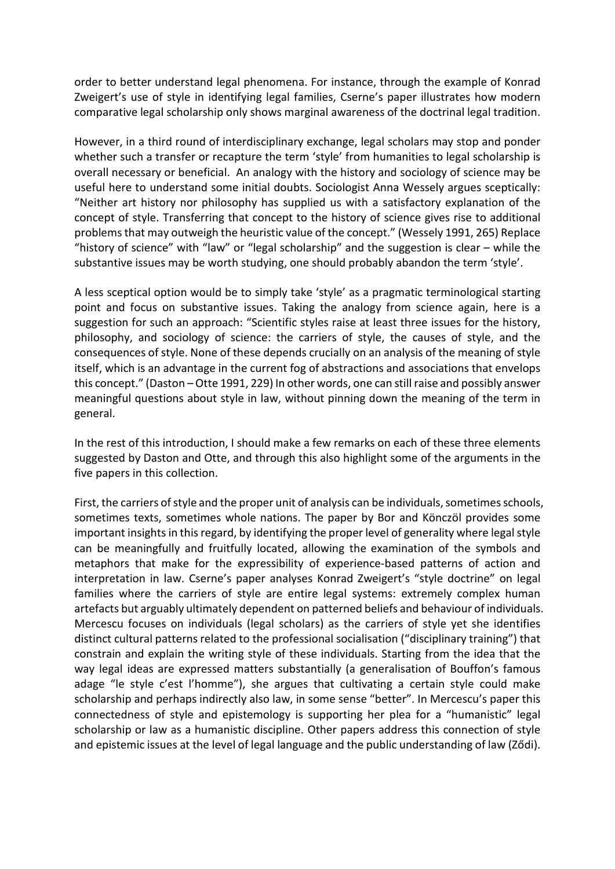order to better understand legal phenomena. For instance, through the example of Konrad Zweigert's use of style in identifying legal families, Cserne's paper illustrates how modern comparative legal scholarship only shows marginal awareness of the doctrinal legal tradition.

However, in a third round of interdisciplinary exchange, legal scholars may stop and ponder whether such a transfer or recapture the term 'style' from humanities to legal scholarship is overall necessary or beneficial. An analogy with the history and sociology of science may be useful here to understand some initial doubts. Sociologist Anna Wessely argues sceptically: "Neither art history nor philosophy has supplied us with a satisfactory explanation of the concept of style. Transferring that concept to the history of science gives rise to additional problems that may outweigh the heuristic value of the concept." (Wessely 1991, 265) Replace "history of science" with "law" or "legal scholarship" and the suggestion is clear – while the substantive issues may be worth studying, one should probably abandon the term 'style'.

A less sceptical option would be to simply take 'style' as a pragmatic terminological starting point and focus on substantive issues. Taking the analogy from science again, here is a suggestion for such an approach: "Scientific styles raise at least three issues for the history, philosophy, and sociology of science: the carriers of style, the causes of style, and the consequences of style. None of these depends crucially on an analysis of the meaning of style itself, which is an advantage in the current fog of abstractions and associations that envelops this concept." (Daston –Otte 1991, 229) In other words, one can still raise and possibly answer meaningful questions about style in law, without pinning down the meaning of the term in general.

In the rest of this introduction, I should make a few remarks on each of these three elements suggested by Daston and Otte, and through this also highlight some of the arguments in the five papers in this collection.

First, the carriers of style and the proper unit of analysis can be individuals, sometimes schools, sometimes texts, sometimes whole nations. The paper by Bor and Könczöl provides some important insights in this regard, by identifying the proper level of generality where legal style can be meaningfully and fruitfully located, allowing the examination of the symbols and metaphors that make for the expressibility of experience-based patterns of action and interpretation in law. Cserne's paper analyses Konrad Zweigert's "style doctrine" on legal families where the carriers of style are entire legal systems: extremely complex human artefacts but arguably ultimately dependent on patterned beliefs and behaviour of individuals. Mercescu focuses on individuals (legal scholars) as the carriers of style yet she identifies distinct cultural patterns related to the professional socialisation ("disciplinary training") that constrain and explain the writing style of these individuals. Starting from the idea that the way legal ideas are expressed matters substantially (a generalisation of Bouffon's famous adage "le style c'est l'homme"), she argues that cultivating a certain style could make scholarship and perhaps indirectly also law, in some sense "better". In Mercescu's paper this connectedness of style and epistemology is supporting her plea for a "humanistic" legal scholarship or law as a humanistic discipline. Other papers address this connection of style and epistemic issues at the level of legal language and the public understanding of law (Ződi).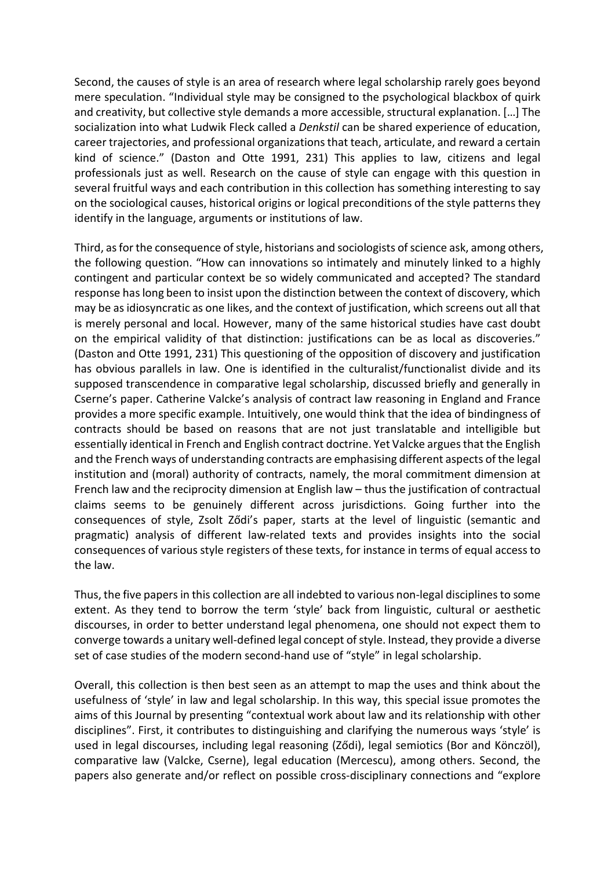Second, the causes of style is an area of research where legal scholarship rarely goes beyond mere speculation. "Individual style may be consigned to the psychological blackbox of quirk and creativity, but collective style demands a more accessible, structural explanation. […] The socialization into what Ludwik Fleck called a *Denkstil* can be shared experience of education, career trajectories, and professional organizations that teach, articulate, and reward a certain kind of science." (Daston and Otte 1991, 231) This applies to law, citizens and legal professionals just as well. Research on the cause of style can engage with this question in several fruitful ways and each contribution in this collection has something interesting to say on the sociological causes, historical origins or logical preconditions of the style patterns they identify in the language, arguments or institutions of law.

Third, as for the consequence of style, historians and sociologists of science ask, among others, the following question. "How can innovations so intimately and minutely linked to a highly contingent and particular context be so widely communicated and accepted? The standard response has long been to insist upon the distinction between the context of discovery, which may be as idiosyncratic as one likes, and the context of justification, which screens out all that is merely personal and local. However, many of the same historical studies have cast doubt on the empirical validity of that distinction: justifications can be as local as discoveries." (Daston and Otte 1991, 231) This questioning of the opposition of discovery and justification has obvious parallels in law. One is identified in the culturalist/functionalist divide and its supposed transcendence in comparative legal scholarship, discussed briefly and generally in Cserne's paper. Catherine Valcke's analysis of contract law reasoning in England and France provides a more specific example. Intuitively, one would think that the idea of bindingness of contracts should be based on reasons that are not just translatable and intelligible but essentially identical in French and English contract doctrine. Yet Valcke argues that the English and the French ways of understanding contracts are emphasising different aspects of the legal institution and (moral) authority of contracts, namely, the moral commitment dimension at French law and the reciprocity dimension at English law – thus the justification of contractual claims seems to be genuinely different across jurisdictions. Going further into the consequences of style, Zsolt Ződi's paper, starts at the level of linguistic (semantic and pragmatic) analysis of different law-related texts and provides insights into the social consequences of various style registers of these texts, for instance in terms of equal access to the law.

Thus, the five papers in this collection are all indebted to various non-legal disciplines to some extent. As they tend to borrow the term 'style' back from linguistic, cultural or aesthetic discourses, in order to better understand legal phenomena, one should not expect them to converge towards a unitary well-defined legal concept of style. Instead, they provide a diverse set of case studies of the modern second-hand use of "style" in legal scholarship.

Overall, this collection is then best seen as an attempt to map the uses and think about the usefulness of 'style' in law and legal scholarship. In this way, this special issue promotes the aims of this Journal by presenting "contextual work about law and its relationship with other disciplines". First, it contributes to distinguishing and clarifying the numerous ways 'style' is used in legal discourses, including legal reasoning (Ződi), legal semiotics (Bor and Könczöl), comparative law (Valcke, Cserne), legal education (Mercescu), among others. Second, the papers also generate and/or reflect on possible cross-disciplinary connections and "explore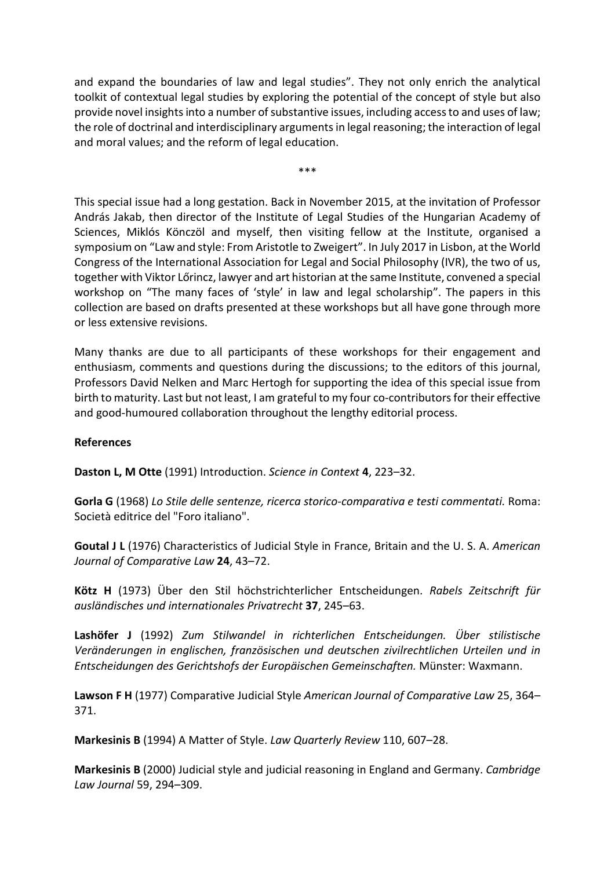and expand the boundaries of law and legal studies". They not only enrich the analytical toolkit of contextual legal studies by exploring the potential of the concept of style but also provide novel insights into a number of substantive issues, including access to and uses of law; the role of doctrinal and interdisciplinary arguments in legal reasoning; the interaction of legal and moral values; and the reform of legal education.

\*\*\*

This special issue had a long gestation. Back in November 2015, at the invitation of Professor András Jakab, then director of the Institute of Legal Studies of the Hungarian Academy of Sciences, Miklós Könczöl and myself, then visiting fellow at the Institute, organised a symposium on "Law and style: From Aristotle to Zweigert". In July 2017 in Lisbon, at the World Congress of the International Association for Legal and Social Philosophy (IVR), the two of us, together with Viktor Lőrincz, lawyer and art historian at the same Institute, convened a special workshop on "The many faces of 'style' in law and legal scholarship". The papers in this collection are based on drafts presented at these workshops but all have gone through more or less extensive revisions.

Many thanks are due to all participants of these workshops for their engagement and enthusiasm, comments and questions during the discussions; to the editors of this journal, Professors David Nelken and Marc Hertogh for supporting the idea of this special issue from birth to maturity. Last but not least, I am grateful to my four co-contributors for their effective and good-humoured collaboration throughout the lengthy editorial process.

## **References**

**Daston L, M Otte** (1991) Introduction. *Science in Context* **4**, 223–32.

**Gorla G** (1968) *Lo Stile delle sentenze, ricerca storico-comparativa e testi commentati.* Roma: Società editrice del "Foro italiano".

**Goutal J L** (1976) Characteristics of Judicial Style in France, Britain and the U. S. A. *American Journal of Comparative Law* **24**, 43–72.

**Kötz H** (1973) Über den Stil höchstrichterlicher Entscheidungen. *Rabels Zeitschrift für ausländisches und internationales Privatrecht* **37**, 245–63.

**Lashöfer J** (1992) *Zum Stilwandel in richterlichen Entscheidungen. Über stilistische Veränderungen in englischen, französischen und deutschen zivilrechtlichen Urteilen und in Entscheidungen des Gerichtshofs der Europäischen Gemeinschaften.* Münster: Waxmann.

**Lawson F H** (1977) Comparative Judicial Style *American Journal of Comparative Law* 25, 364– 371.

**Markesinis B** (1994) A Matter of Style. *Law Quarterly Review* 110, 607–28.

**Markesinis B** (2000) Judicial style and judicial reasoning in England and Germany. *Cambridge Law Journal* 59, 294–309.